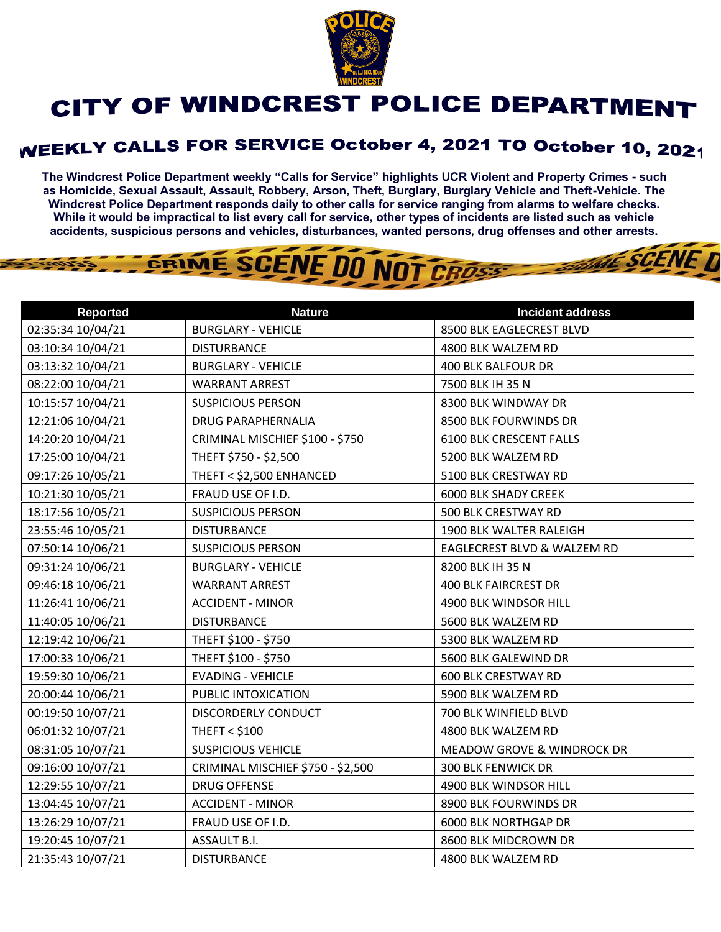

## CITY OF WINDCREST POLICE DEPARTMENT

## **WEEKLY CALLS FOR SERVICE October 4, 2021 TO October 10, 2021**

**The Windcrest Police Department weekly "Calls for Service" highlights UCR Violent and Property Crimes - such as Homicide, Sexual Assault, Assault, Robbery, Arson, Theft, Burglary, Burglary Vehicle and Theft-Vehicle. The Windcrest Police Department responds daily to other calls for service ranging from alarms to welfare checks. While it would be impractical to list every call for service, other types of incidents are listed such as vehicle accidents, suspicious persons and vehicles, disturbances, wanted persons, drug offenses and other arrests.** 

**THE SCENE D** 

## GRIME SCENE DO NOT CROSS

| <b>Reported</b>   | <b>Nature</b>                     | <b>Incident address</b>               |
|-------------------|-----------------------------------|---------------------------------------|
| 02:35:34 10/04/21 | <b>BURGLARY - VEHICLE</b>         | 8500 BLK EAGLECREST BLVD              |
| 03:10:34 10/04/21 | <b>DISTURBANCE</b>                | 4800 BLK WALZEM RD                    |
| 03:13:32 10/04/21 | <b>BURGLARY - VEHICLE</b>         | <b>400 BLK BALFOUR DR</b>             |
| 08:22:00 10/04/21 | <b>WARRANT ARREST</b>             | 7500 BLK IH 35 N                      |
| 10:15:57 10/04/21 | <b>SUSPICIOUS PERSON</b>          | 8300 BLK WINDWAY DR                   |
| 12:21:06 10/04/21 | <b>DRUG PARAPHERNALIA</b>         | 8500 BLK FOURWINDS DR                 |
| 14:20:20 10/04/21 | CRIMINAL MISCHIEF \$100 - \$750   | 6100 BLK CRESCENT FALLS               |
| 17:25:00 10/04/21 | THEFT \$750 - \$2,500             | 5200 BLK WALZEM RD                    |
| 09:17:26 10/05/21 | THEFT < \$2,500 ENHANCED          | 5100 BLK CRESTWAY RD                  |
| 10:21:30 10/05/21 | FRAUD USE OF I.D.                 | <b>6000 BLK SHADY CREEK</b>           |
| 18:17:56 10/05/21 | <b>SUSPICIOUS PERSON</b>          | 500 BLK CRESTWAY RD                   |
| 23:55:46 10/05/21 | <b>DISTURBANCE</b>                | 1900 BLK WALTER RALEIGH               |
| 07:50:14 10/06/21 | <b>SUSPICIOUS PERSON</b>          | EAGLECREST BLVD & WALZEM RD           |
| 09:31:24 10/06/21 | <b>BURGLARY - VEHICLE</b>         | 8200 BLK IH 35 N                      |
| 09:46:18 10/06/21 | <b>WARRANT ARREST</b>             | <b>400 BLK FAIRCREST DR</b>           |
| 11:26:41 10/06/21 | <b>ACCIDENT - MINOR</b>           | 4900 BLK WINDSOR HILL                 |
| 11:40:05 10/06/21 | <b>DISTURBANCE</b>                | 5600 BLK WALZEM RD                    |
| 12:19:42 10/06/21 | THEFT \$100 - \$750               | 5300 BLK WALZEM RD                    |
| 17:00:33 10/06/21 | THEFT \$100 - \$750               | 5600 BLK GALEWIND DR                  |
| 19:59:30 10/06/21 | <b>EVADING - VEHICLE</b>          | <b>600 BLK CRESTWAY RD</b>            |
| 20:00:44 10/06/21 | PUBLIC INTOXICATION               | 5900 BLK WALZEM RD                    |
| 00:19:50 10/07/21 | <b>DISCORDERLY CONDUCT</b>        | 700 BLK WINFIELD BLVD                 |
| 06:01:32 10/07/21 | <b>THEFT &lt; \$100</b>           | 4800 BLK WALZEM RD                    |
| 08:31:05 10/07/21 | <b>SUSPICIOUS VEHICLE</b>         | <b>MEADOW GROVE &amp; WINDROCK DR</b> |
| 09:16:00 10/07/21 | CRIMINAL MISCHIEF \$750 - \$2,500 | <b>300 BLK FENWICK DR</b>             |
| 12:29:55 10/07/21 | <b>DRUG OFFENSE</b>               | 4900 BLK WINDSOR HILL                 |
| 13:04:45 10/07/21 | <b>ACCIDENT - MINOR</b>           | 8900 BLK FOURWINDS DR                 |
| 13:26:29 10/07/21 | FRAUD USE OF I.D.                 | <b>6000 BLK NORTHGAP DR</b>           |
| 19:20:45 10/07/21 | ASSAULT B.I.                      | 8600 BLK MIDCROWN DR                  |
| 21:35:43 10/07/21 | <b>DISTURBANCE</b>                | 4800 BLK WALZEM RD                    |